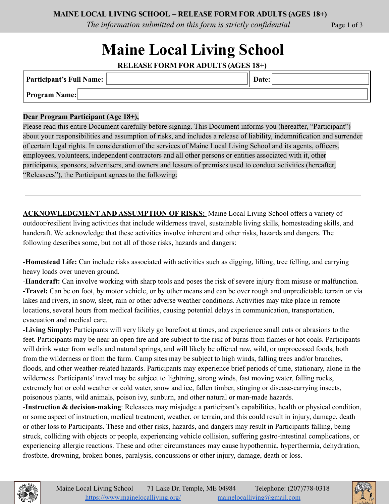*The information submitted on this form is strictly confidential* Page 1 of 3

# **Maine Local Living School**

**RELEASE FORM FOR ADULTS (AGES 18+)**

| Participant's Full Name: | Date: |  |
|--------------------------|-------|--|
| <b>Program Name:</b>     |       |  |

### **Dear Program Participant (Age 18+),**

Please read this entire Document carefully before signing. This Document informs you (hereafter, "Participant") about your responsibilities and assumption of risks, and includes a release of liability, indemnification and surrender of certain legal rights. In consideration of the services of Maine Local Living School and its agents, officers, employees, volunteers, independent contractors and all other persons or entities associated with it, other participants, sponsors, advertisers, and owners and lessors of premises used to conduct activities (hereafter, "Releasees"), the Participant agrees to the following:

**ACKNOWLEDGMENT AND ASSUMPTION OF RISKS:** Maine Local Living School offers a variety of outdoor/resilient living activities that include wilderness travel, sustainable living skills, homesteading skills, and handcraft. We acknowledge that these activities involve inherent and other risks, hazards and dangers. The following describes some, but not all of those risks, hazards and dangers:

-**Homestead Life:** Can include risks associated with activities such as digging, lifting, tree felling, and carrying heavy loads over uneven ground.

-**Handcraft:** Can involve working with sharp tools and poses the risk of severe injury from misuse or malfunction. **-Travel:** Can be on foot, by motor vehicle, or by other means and can be over rough and unpredictable terrain or via lakes and rivers, in snow, sleet, rain or other adverse weather conditions. Activities may take place in remote locations, several hours from medical facilities, causing potential delays in communication, transportation, evacuation and medical care.

-**Living Simply:** Participants will very likely go barefoot at times, and experience small cuts or abrasions to the feet. Participants may be near an open fire and are subject to the risk of burns from flames or hot coals. Participants will drink water from wells and natural springs, and will likely be offered raw, wild, or unprocessed foods, both from the wilderness or from the farm. Camp sites may be subject to high winds, falling trees and/or branches, floods, and other weather-related hazards. Participants may experience brief periods of time, stationary, alone in the wilderness. Participants' travel may be subject to lightning, strong winds, fast moving water, falling rocks, extremely hot or cold weather or cold water, snow and ice, fallen timber, stinging or disease-carrying insects, poisonous plants, wild animals, poison ivy, sunburn, and other natural or man-made hazards.

-**Instruction & decision-making**: Releasees may misjudge a participant's capabilities, health or physical condition, or some aspect of instruction, medical treatment, weather, or terrain, and this could result in injury, damage, death or other loss to Participants. These and other risks, hazards, and dangers may result in Participants falling, being struck, colliding with objects or people, experiencing vehicle collision, suffering gastro-intestinal complications, or experiencing allergic reactions. These and other circumstances may cause hypothermia, hyperthermia, dehydration, frostbite, drowning, broken bones, paralysis, concussions or other injury, damage, death or loss.



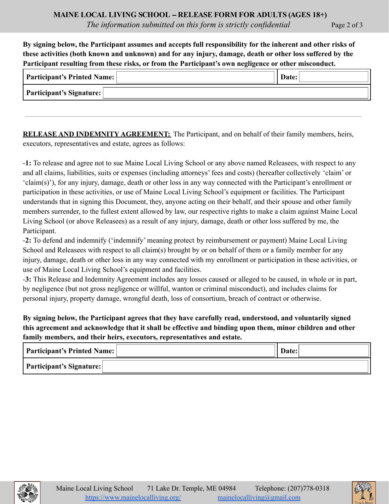By signing below, the Participant assumes and accepts full responsibility for the inherent and other risks of these activities (both known and unknown) and for any injury, damage, death or other loss suffered by the **Participant resulting from these risks, or from the Participant's own negligence or other misconduct.**

| <b>Participant's Printed Name:</b> |  |
|------------------------------------|--|
| Participant's Signature:           |  |

**RELEASE AND INDEMNITY AGREEMENT:** The Participant, and on behalf of their family members, heirs, executors, representatives and estate, agrees as follows:

-**1:** To release and agree not to sue Maine Local Living School or any above named Releasees, with respect to any and all claims, liabilities, suits or expenses (including attorneys' fees and costs) (hereafter collectively 'claim' or 'claim(s)'), for any injury, damage, death or other loss in any way connected with the Participant's enrollment or participation in these activities, or use of Maine Local Living School's equipment or facilities. The Participant understands that in signing this Document, they, anyone acting on their behalf, and their spouse and other family members surrender, to the fullest extent allowed by law, our respective rights to make a claim against Maine Local Living School (or above Releasees) as a result of any injury, damage, death or other loss suffered by me, the Participant.

-**2:** To defend and indemnify ('indemnify' meaning protect by reimbursement or payment) Maine Local Living School and Releasees with respect to all claim(s) brought by or on behalf of them or a family member for any injury, damage, death or other loss in any way connected with my enrollment or participation in these activities, or use of Maine Local Living School's equipment and facilities.

-**3:** This Release and Indemnity Agreement includes any losses caused or alleged to be caused, in whole or in part, by negligence (but not gross negligence or willful, wanton or criminal misconduct), and includes claims for personal injury, property damage, wrongful death, loss of consortium, breach of contract or otherwise.

**By signing below, the Participant agrees that they have carefully read, understood, and voluntarily signed this agreement and acknowledge that it shall be effective and binding upon them, minor children and other family members, and their heirs, executors, representatives and estate.**

| <b>Participant's Printed Name:</b> | Date: |
|------------------------------------|-------|
| <b>Participant's Signature:</b>    |       |